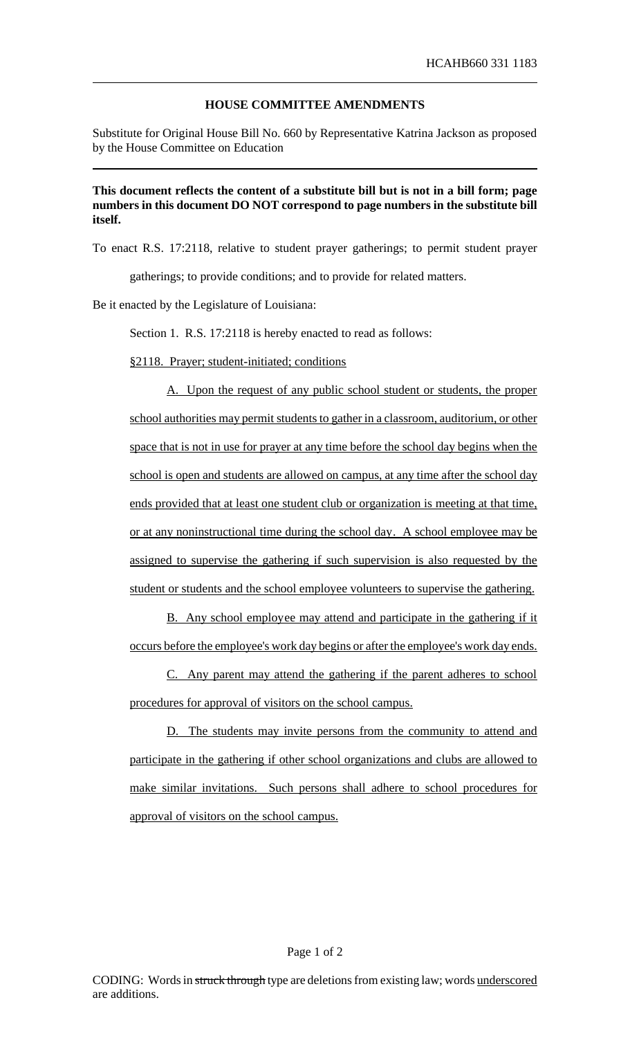## **HOUSE COMMITTEE AMENDMENTS**

Substitute for Original House Bill No. 660 by Representative Katrina Jackson as proposed by the House Committee on Education

## **This document reflects the content of a substitute bill but is not in a bill form; page numbers in this document DO NOT correspond to page numbers in the substitute bill itself.**

To enact R.S. 17:2118, relative to student prayer gatherings; to permit student prayer

gatherings; to provide conditions; and to provide for related matters.

Be it enacted by the Legislature of Louisiana:

Section 1. R.S. 17:2118 is hereby enacted to read as follows:

§2118. Prayer; student-initiated; conditions

A. Upon the request of any public school student or students, the proper school authorities may permit students to gather in a classroom, auditorium, or other space that is not in use for prayer at any time before the school day begins when the school is open and students are allowed on campus, at any time after the school day ends provided that at least one student club or organization is meeting at that time, or at any noninstructional time during the school day. A school employee may be assigned to supervise the gathering if such supervision is also requested by the student or students and the school employee volunteers to supervise the gathering.

B. Any school employee may attend and participate in the gathering if it occurs before the employee's work day begins or after the employee's work day ends.

C. Any parent may attend the gathering if the parent adheres to school procedures for approval of visitors on the school campus.

D. The students may invite persons from the community to attend and participate in the gathering if other school organizations and clubs are allowed to make similar invitations. Such persons shall adhere to school procedures for approval of visitors on the school campus.